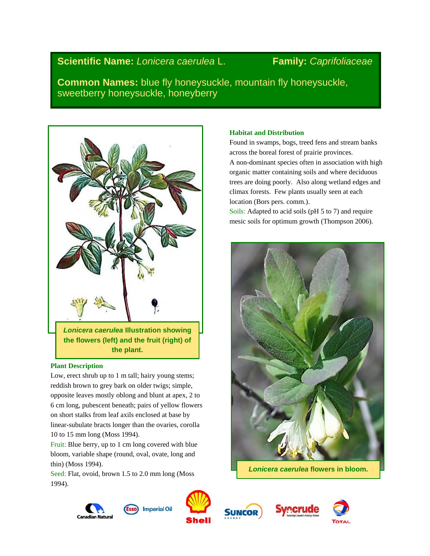# **Scientific Name:** *Lonicera caerulea* L. **Family:** *Caprifoliaceae*

**Common Names:** blue fly honeysuckle, mountain fly honeysuckle, sweetberry honeysuckle, honeyberry



### **the plant.**

## **Plant Description**

Low, erect shrub up to 1 m tall; hairy young stems; reddish brown to grey bark on older twigs; simple, opposite leaves mostly oblong and blunt at apex, 2 to 6 cm long, pubescent beneath; pairs of yellow flowers on short stalks from leaf axils enclosed at base by linear-subulate bracts longer than the ovaries, corolla 10 to 15 mm long (Moss 1994).

Fruit: Blue berry, up to 1 cm long covered with blue bloom, variable shape (round, oval, ovate, long and thin) (Moss 1994).

Seed: Flat, ovoid, brown 1.5 to 2.0 mm long (Moss 1994).

# **Habitat and Distribution**

Found in swamps, bogs, treed fens and stream banks across the boreal forest of prairie provinces. A non-dominant species often in association with high

organic matter containing soils and where deciduous trees are doing poorly. Also along wetland edges and climax forests. Few plants usually seen at each location (Bors pers. comm.).

Soils: Adapted to acid soils (pH 5 to 7) and require mesic soils for optimum growth (Thompson 2006).



*Lonicera caerulea* **flowers in bloom.**









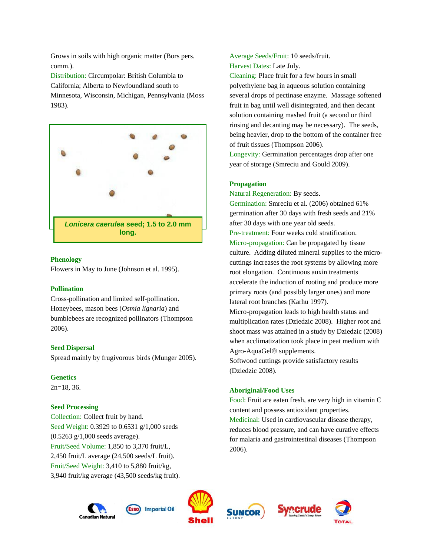Grows in soils with high organic matter (Bors pers. comm.).

Distribution: Circumpolar: British Columbia to California; Alberta to Newfoundland south to Minnesota, Wisconsin, Michigan, Pennsylvania (Moss 1983).



#### **Phenology**

Flowers in May to June (Johnson et al. 1995).

#### **Pollination**

Cross-pollination and limited self-pollination. Honeybees, mason bees (*Osmia lignaria*) and bumblebees are recognized pollinators (Thompson 2006).

#### **Seed Dispersal**

Spread mainly by frugivorous birds (Munger 2005).

#### **Genetics**

2n=18, 36.

#### **Seed Processing**

Collection: Collect fruit by hand. Seed Weight: 0.3929 to 0.6531 g/1,000 seeds (0.5263 g/1,000 seeds average). Fruit/Seed Volume: 1,850 to 3,370 fruit/L, 2,450 fruit/L average (24,500 seeds/L fruit). Fruit/Seed Weight: 3,410 to 5,880 fruit/kg, 3,940 fruit/kg average (43,500 seeds/kg fruit). Average Seeds/Fruit: 10 seeds/fruit. Harvest Dates: Late July.

Cleaning: Place fruit for a few hours in small polyethylene bag in aqueous solution containing several drops of pectinase enzyme. Massage softened fruit in bag until well disintegrated, and then decant solution containing mashed fruit (a second or third rinsing and decanting may be necessary). The seeds, being heavier, drop to the bottom of the container free of fruit tissues (Thompson 2006).

Longevity: Germination percentages drop after one year of storage (Smreciu and Gould 2009).

#### **Propagation**

Natural Regeneration: By seeds.

Germination: Smreciu et al. (2006) obtained 61% germination after 30 days with fresh seeds and 21% after 30 days with one year old seeds. Pre-treatment: Four weeks cold stratification. Micro-propagation: Can be propagated by tissue culture. Adding diluted mineral supplies to the microcuttings increases the root systems by allowing more root elongation. Continuous auxin treatments accelerate the induction of rooting and produce more primary roots (and possibly larger ones) and more lateral root branches (Karhu 1997). Micro-propagation leads to high health status and multiplication rates (Dziedzic 2008). Higher root and shoot mass was attained in a study by Dziedzic (2008) when acclimatization took place in peat medium with Agro-AquaGel<sup>®</sup> supplements. Softwood cuttings provide satisfactory results

#### **Aboriginal/Food Uses**

(Dziedzic 2008).

Food: Fruit are eaten fresh, are very high in vitamin C content and possess antioxidant properties. Medicinal: Used in cardiovascular disease therapy, reduces blood pressure, and can have curative effects for malaria and gastrointestinal diseases (Thompson 2006).











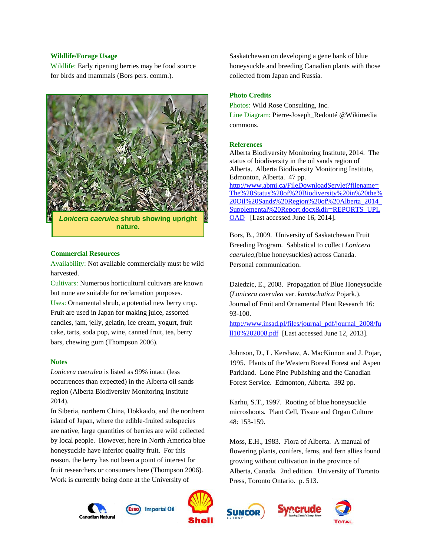#### **Wildlife/Forage Usage**

Wildlife: Early ripening berries may be food source for birds and mammals (Bors pers. comm.).



#### **Commercial Resources**

Availability: Not available commercially must be wild harvested.

Cultivars: Numerous horticultural cultivars are known but none are suitable for reclamation purposes. Uses: Ornamental shrub, a potential new berry crop. Fruit are used in Japan for making juice, assorted candies, jam, jelly, gelatin, ice cream, yogurt, fruit cake, tarts, soda pop, wine, canned fruit, tea, berry bars, chewing gum (Thompson 2006).

#### **Notes**

*Lonicera caerulea* is listed as 99% intact (less occurrences than expected) in the Alberta oil sands region (Alberta Biodiversity Monitoring Institute 2014).

In Siberia, northern China, Hokkaido, and the northern island of Japan, where the edible-fruited subspecies are native, large quantities of berries are wild collected by local people. However, here in North America blue honeysuckle have inferior quality fruit. For this reason, the berry has not been a point of interest for fruit researchers or consumers here (Thompson 2006). Work is currently being done at the University of



**Canadian Natura** 



**Imperial Oil** 

Saskatchewan on developing a gene bank of blue honeysuckle and breeding Canadian plants with those collected from Japan and Russia.

#### **Photo Credits**

Photos: Wild Rose Consulting, Inc. Line Diagram: Pierre-Joseph\_Redouté @Wikimedia commons.

#### **References**

Alberta Biodiversity Monitoring Institute, 2014. The status of biodiversity in the oil sands region of Alberta. Alberta Biodiversity Monitoring Institute, Edmonton, Alberta. 47 pp. [http://www.abmi.ca/FileDownloadServlet?filename=](http://www.abmi.ca/FileDownloadServlet?filename=The%20Status%20of%20Biodiversity%20in%20the%20Oil%20Sands%20Region%20of%20Alberta_2014_Supplemental%20Report.docx&dir=REPORTS_UPLOAD) [The%20Status%20of%20Biodiversity%20in%20the%](http://www.abmi.ca/FileDownloadServlet?filename=The%20Status%20of%20Biodiversity%20in%20the%20Oil%20Sands%20Region%20of%20Alberta_2014_Supplemental%20Report.docx&dir=REPORTS_UPLOAD) [20Oil%20Sands%20Region%20of%20Alberta\\_2014\\_](http://www.abmi.ca/FileDownloadServlet?filename=The%20Status%20of%20Biodiversity%20in%20the%20Oil%20Sands%20Region%20of%20Alberta_2014_Supplemental%20Report.docx&dir=REPORTS_UPLOAD) [Supplemental%20Report.docx&dir=REPORTS\\_UPL](http://www.abmi.ca/FileDownloadServlet?filename=The%20Status%20of%20Biodiversity%20in%20the%20Oil%20Sands%20Region%20of%20Alberta_2014_Supplemental%20Report.docx&dir=REPORTS_UPLOAD) [OAD](http://www.abmi.ca/FileDownloadServlet?filename=The%20Status%20of%20Biodiversity%20in%20the%20Oil%20Sands%20Region%20of%20Alberta_2014_Supplemental%20Report.docx&dir=REPORTS_UPLOAD) [Last accessed June 16, 2014].

Bors, B., 2009. University of Saskatchewan Fruit Breeding Program. Sabbatical to collect *Lonicera caerulea,*(blue honeysuckles) across Canada. Personal communication.

Dziedzic, E., 2008. Propagation of Blue Honeysuckle (*Lonicera caerulea* var. *kamtschatica* Pojark.). Journal of Fruit and Ornamental Plant Research 16: 93-100.

[http://www.insad.pl/files/journal\\_pdf/journal\\_2008/fu](http://www.insad.pl/files/journal_pdf/journal_2008/full10%202008.pdf) [ll10%202008.pdf](http://www.insad.pl/files/journal_pdf/journal_2008/full10%202008.pdf) [Last accessed June 12, 2013].

Johnson, D., L. Kershaw, A. MacKinnon and J. Pojar, 1995. Plants of the Western Boreal Forest and Aspen Parkland. Lone Pine Publishing and the Canadian Forest Service. Edmonton, Alberta. 392 pp.

Karhu, S.T., 1997. Rooting of blue honeysuckle microshoots. Plant Cell, Tissue and Organ Culture 48: 153-159.

Moss, E.H., 1983. Flora of Alberta. A manual of flowering plants, conifers, ferns, and fern allies found growing without cultivation in the province of Alberta, Canada. 2nd edition. University of Toronto Press, Toronto Ontario. p. 513.